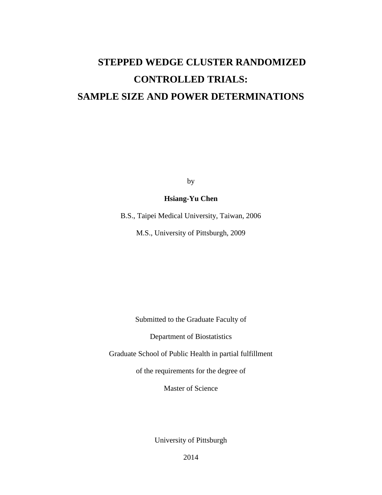# **STEPPED WEDGE CLUSTER RANDOMIZED CONTROLLED TRIALS: SAMPLE SIZE AND POWER DETERMINATIONS**

by

### **Hsiang-Yu Chen**

B.S., Taipei Medical University, Taiwan, 2006

M.S., University of Pittsburgh, 2009

Submitted to the Graduate Faculty of

Department of Biostatistics

Graduate School of Public Health in partial fulfillment

of the requirements for the degree of

Master of Science

University of Pittsburgh

2014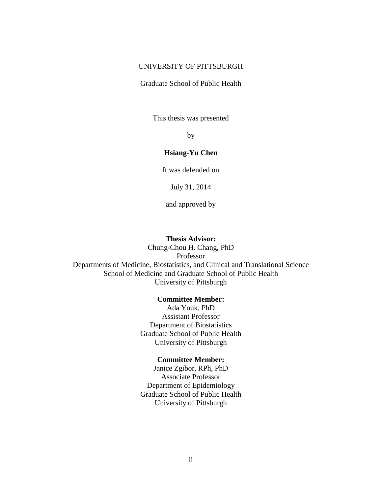#### UNIVERSITY OF PITTSBURGH

Graduate School of Public Health

This thesis was presented

by

#### **Hsiang-Yu Chen**

It was defended on

July 31, 2014

and approved by

#### **Thesis Advisor:**

Chung-Chou H. Chang, PhD Professor Departments of Medicine, Biostatistics, and Clinical and Translational Science School of Medicine and Graduate School of Public Health University of Pittsburgh

#### **Committee Member:**

Ada Youk, PhD Assistant Professor Department of Biostatistics Graduate School of Public Health University of Pittsburgh

#### **Committee Member:**

Janice Zgibor, RPh, PhD Associate Professor Department of Epidemiology Graduate School of Public Health University of Pittsburgh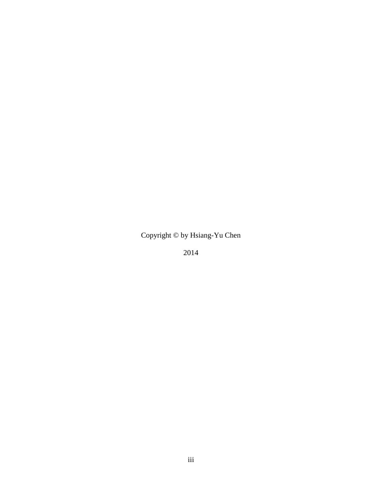Copyright © by Hsiang-Yu Chen

2014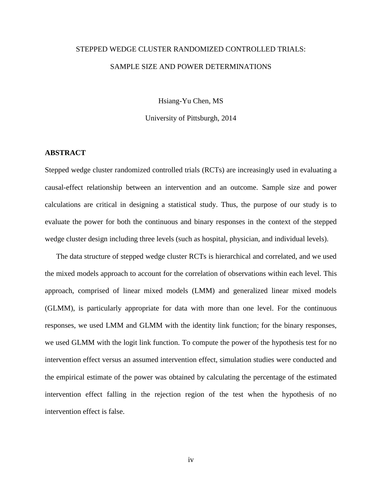## STEPPED WEDGE CLUSTER RANDOMIZED CONTROLLED TRIALS: SAMPLE SIZE AND POWER DETERMINATIONS

Hsiang-Yu Chen, MS

University of Pittsburgh, 2014

#### **ABSTRACT**

Stepped wedge cluster randomized controlled trials (RCTs) are increasingly used in evaluating a causal-effect relationship between an intervention and an outcome. Sample size and power calculations are critical in designing a statistical study. Thus, the purpose of our study is to evaluate the power for both the continuous and binary responses in the context of the stepped wedge cluster design including three levels (such as hospital, physician, and individual levels).

The data structure of stepped wedge cluster RCTs is hierarchical and correlated, and we used the mixed models approach to account for the correlation of observations within each level. This approach, comprised of linear mixed models (LMM) and generalized linear mixed models (GLMM), is particularly appropriate for data with more than one level. For the continuous responses, we used LMM and GLMM with the identity link function; for the binary responses, we used GLMM with the logit link function. To compute the power of the hypothesis test for no intervention effect versus an assumed intervention effect, simulation studies were conducted and the empirical estimate of the power was obtained by calculating the percentage of the estimated intervention effect falling in the rejection region of the test when the hypothesis of no intervention effect is false.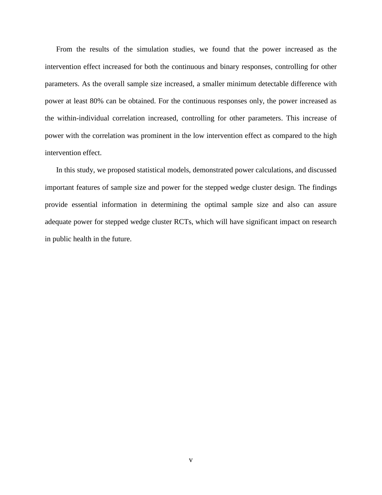From the results of the simulation studies, we found that the power increased as the intervention effect increased for both the continuous and binary responses, controlling for other parameters. As the overall sample size increased, a smaller minimum detectable difference with power at least 80% can be obtained. For the continuous responses only, the power increased as the within-individual correlation increased, controlling for other parameters. This increase of power with the correlation was prominent in the low intervention effect as compared to the high intervention effect.

In this study, we proposed statistical models, demonstrated power calculations, and discussed important features of sample size and power for the stepped wedge cluster design. The findings provide essential information in determining the optimal sample size and also can assure adequate power for stepped wedge cluster RCTs, which will have significant impact on research in public health in the future.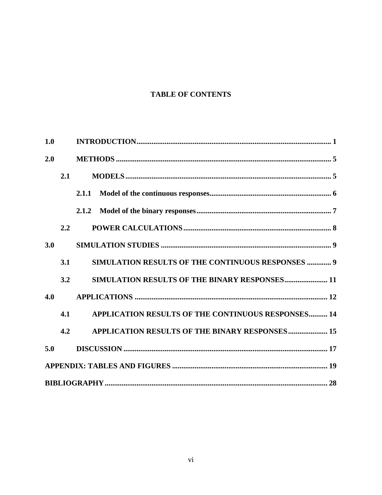## **TABLE OF CONTENTS**

| 1.0 |               |                                                    |  |
|-----|---------------|----------------------------------------------------|--|
| 2.0 |               |                                                    |  |
|     | 2.1           |                                                    |  |
|     |               | 2.1.1                                              |  |
|     |               |                                                    |  |
|     | $2.2^{\circ}$ |                                                    |  |
| 3.0 |               |                                                    |  |
|     | 3.1           | SIMULATION RESULTS OF THE CONTINUOUS RESPONSES  9  |  |
|     | 3.2           | SIMULATION RESULTS OF THE BINARY RESPONSES 11      |  |
| 4.0 |               |                                                    |  |
|     | 4.1           | APPLICATION RESULTS OF THE CONTINUOUS RESPONSES 14 |  |
|     | 4.2           | APPLICATION RESULTS OF THE BINARY RESPONSES 15     |  |
| 5.0 |               |                                                    |  |
|     |               |                                                    |  |
|     |               |                                                    |  |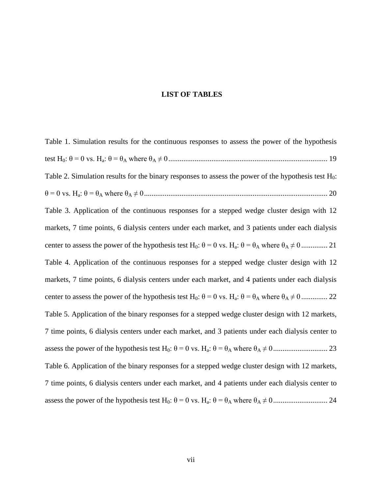#### **LIST OF TABLES**

[Table 1. Simulation results for the continuous responses to assess](#page-26-1) the power of the hypothesis test H0: θ = 0 vs. Ha: θ = θ<sup>A</sup> where θ<sup>A</sup> [≠ 0.....................................................................................](#page-26-1) 19 [Table 2. Simulation results for the binary responses to assess](#page-27-0) the power of the hypothesis test  $H_0$ : θ = 0 vs. Ha: θ = θ<sup>A</sup> where θ<sup>A</sup> [≠ 0..................................................................................................](#page-27-0) 20 [Table 3. Application of the continuous responses for a stepped wedge cluster design with 12](#page-28-0)  [markets, 7 time points, 6 dialysis centers under each market, and 3 patients under each dialysis](#page-28-0)  center to assess [the power of the hypothesis test H](#page-28-0)0: θ = 0 vs. Ha: θ = θ<sup>A</sup> where θ<sup>A</sup> ≠ 0 .............. 21 [Table 4. Application of the continuous responses for a stepped wedge cluster design with 12](#page-29-0)  [markets, 7 time points, 6 dialysis centers under each market, and 4 patients under each dialysis](#page-29-0)  center to assess [the power of the hypothesis test H](#page-29-0)0: θ = 0 vs. Ha: θ = θ<sup>A</sup> where θ<sup>A</sup> ≠ 0 .............. 22 [Table 5. Application of the binary responses for a stepped wedge cluster design with 12 markets,](#page-30-0)  [7 time points, 6 dialysis centers under each market, and 3 patients under each dialysis center to](#page-30-0)  assess [the power of the hypothesis test H](#page-30-0)0: θ = 0 vs. Ha: θ = θ<sup>A</sup> where θ<sup>A</sup> ≠ 0............................. 23 [Table 6. Application of the binary responses for a stepped wedge cluster design with 12 markets,](#page-31-0)  [7 time points, 6 dialysis centers under each market, and 4 patients under each dialysis center to](#page-31-0)  assess [the power of the hypothesis test H](#page-31-0)0: θ = 0 vs. Ha: θ = θ<sup>A</sup> where θ<sup>A</sup> ≠ 0............................. 24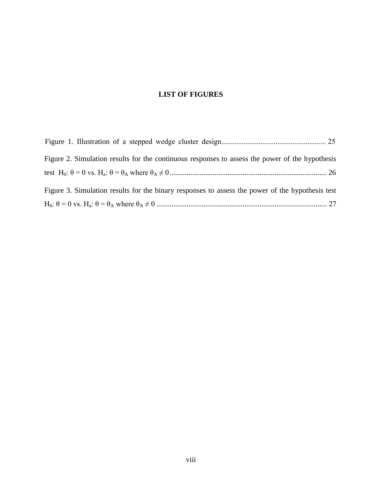## **LIST OF FIGURES**

| Figure 2. Simulation results for the continuous responses to assess the power of the hypothesis  |  |
|--------------------------------------------------------------------------------------------------|--|
|                                                                                                  |  |
| Figure 3. Simulation results for the binary responses to assess the power of the hypothesis test |  |
|                                                                                                  |  |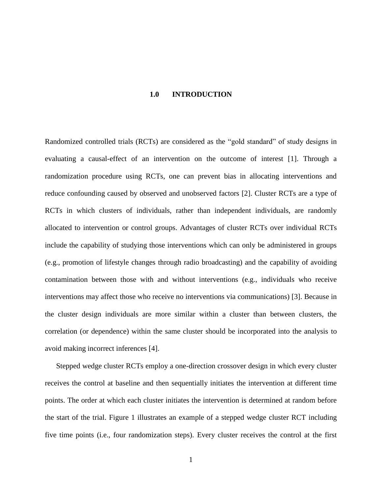#### **1.0 INTRODUCTION**

<span id="page-8-0"></span>Randomized controlled trials (RCTs) are considered as the "gold standard" of study designs in evaluating a causal-effect of an intervention on the outcome of interest [1]. Through a randomization procedure using RCTs, one can prevent bias in allocating interventions and reduce confounding caused by observed and unobserved factors [2]. Cluster RCTs are a type of RCTs in which clusters of individuals, rather than independent individuals, are randomly allocated to intervention or control groups. Advantages of cluster RCTs over individual RCTs include the capability of studying those interventions which can only be administered in groups (e.g., promotion of lifestyle changes through radio broadcasting) and the capability of avoiding contamination between those with and without interventions (e.g., individuals who receive interventions may affect those who receive no interventions via communications) [3]. Because in the cluster design individuals are more similar within a cluster than between clusters, the correlation (or dependence) within the same cluster should be incorporated into the analysis to avoid making incorrect inferences [4].

Stepped wedge cluster RCTs employ a one-direction crossover design in which every cluster receives the control at baseline and then sequentially initiates the intervention at different time points. The order at which each cluster initiates the intervention is determined at random before the start of the trial. [Figure 1](#page-32-1) illustrates an example of a stepped wedge cluster RCT including five time points (i.e., four randomization steps). Every cluster receives the control at the first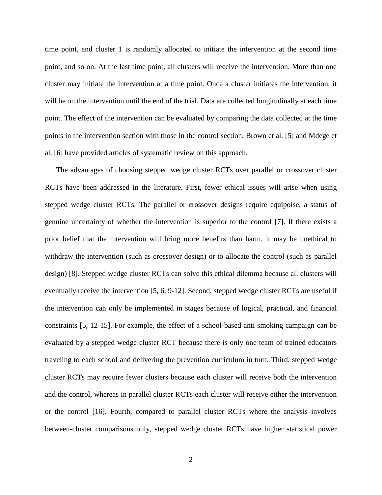time point, and cluster 1 is randomly allocated to initiate the intervention at the second time point, and so on. At the last time point, all clusters will receive the intervention. More than one cluster may initiate the intervention at a time point. Once a cluster initiates the intervention, it will be on the intervention until the end of the trial. Data are collected longitudinally at each time point. The effect of the intervention can be evaluated by comparing the data collected at the time points in the intervention section with those in the control section. Brown et al. [5] and Mdege et al. [6] have provided articles of systematic review on this approach.

The advantages of choosing stepped wedge cluster RCTs over parallel or crossover cluster RCTs have been addressed in the literature. First, fewer ethical issues will arise when using stepped wedge cluster RCTs. The parallel or crossover designs require equipoise, a status of genuine uncertainty of whether the intervention is superior to the control [7]. If there exists a prior belief that the intervention will bring more benefits than harm, it may be unethical to withdraw the intervention (such as crossover design) or to allocate the control (such as parallel design) [8]. Stepped wedge cluster RCTs can solve this ethical dilemma because all clusters will eventually receive the intervention [5, 6, 9-12]. Second, stepped wedge cluster RCTs are useful if the intervention can only be implemented in stages because of logical, practical, and financial constraints [5, 12-15]. For example, the effect of a school-based anti-smoking campaign can be evaluated by a stepped wedge cluster RCT because there is only one team of trained educators traveling to each school and delivering the prevention curriculum in turn. Third, stepped wedge cluster RCTs may require fewer clusters because each cluster will receive both the intervention and the control, whereas in parallel cluster RCTs each cluster will receive either the intervention or the control [16]. Fourth, compared to parallel cluster RCTs where the analysis involves between-cluster comparisons only, stepped wedge cluster RCTs have higher statistical power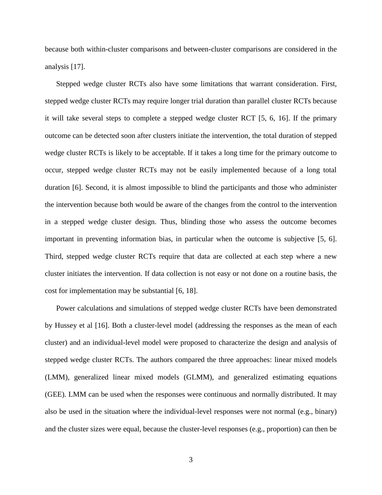because both within-cluster comparisons and between-cluster comparisons are considered in the analysis [17].

Stepped wedge cluster RCTs also have some limitations that warrant consideration. First, stepped wedge cluster RCTs may require longer trial duration than parallel cluster RCTs because it will take several steps to complete a stepped wedge cluster RCT [5, 6, 16]. If the primary outcome can be detected soon after clusters initiate the intervention, the total duration of stepped wedge cluster RCTs is likely to be acceptable. If it takes a long time for the primary outcome to occur, stepped wedge cluster RCTs may not be easily implemented because of a long total duration [6]. Second, it is almost impossible to blind the participants and those who administer the intervention because both would be aware of the changes from the control to the intervention in a stepped wedge cluster design. Thus, blinding those who assess the outcome becomes important in preventing information bias, in particular when the outcome is subjective [5, 6]. Third, stepped wedge cluster RCTs require that data are collected at each step where a new cluster initiates the intervention. If data collection is not easy or not done on a routine basis, the cost for implementation may be substantial [6, 18].

Power calculations and simulations of stepped wedge cluster RCTs have been demonstrated by Hussey et al [16]. Both a cluster-level model (addressing the responses as the mean of each cluster) and an individual-level model were proposed to characterize the design and analysis of stepped wedge cluster RCTs. The authors compared the three approaches: linear mixed models (LMM), generalized linear mixed models (GLMM), and generalized estimating equations (GEE). LMM can be used when the responses were continuous and normally distributed. It may also be used in the situation where the individual-level responses were not normal (e.g., binary) and the cluster sizes were equal, because the cluster-level responses (e.g., proportion) can then be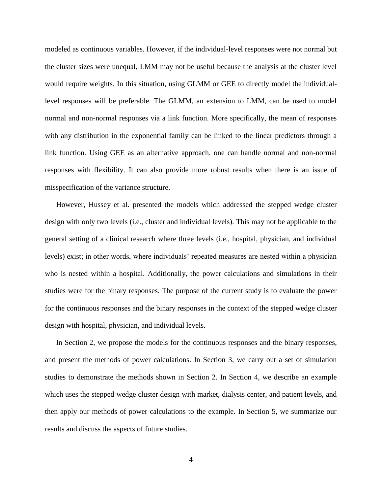modeled as continuous variables. However, if the individual-level responses were not normal but the cluster sizes were unequal, LMM may not be useful because the analysis at the cluster level would require weights. In this situation, using GLMM or GEE to directly model the individuallevel responses will be preferable. The GLMM, an extension to LMM, can be used to model normal and non-normal responses via a link function. More specifically, the mean of responses with any distribution in the exponential family can be linked to the linear predictors through a link function. Using GEE as an alternative approach, one can handle normal and non-normal responses with flexibility. It can also provide more robust results when there is an issue of misspecification of the variance structure.

However, Hussey et al. presented the models which addressed the stepped wedge cluster design with only two levels (i.e., cluster and individual levels). This may not be applicable to the general setting of a clinical research where three levels (i.e., hospital, physician, and individual levels) exist; in other words, where individuals' repeated measures are nested within a physician who is nested within a hospital. Additionally, the power calculations and simulations in their studies were for the binary responses. The purpose of the current study is to evaluate the power for the continuous responses and the binary responses in the context of the stepped wedge cluster design with hospital, physician, and individual levels.

In Section 2, we propose the models for the continuous responses and the binary responses, and present the methods of power calculations. In Section 3, we carry out a set of simulation studies to demonstrate the methods shown in Section 2. In Section 4, we describe an example which uses the stepped wedge cluster design with market, dialysis center, and patient levels, and then apply our methods of power calculations to the example. In Section 5, we summarize our results and discuss the aspects of future studies.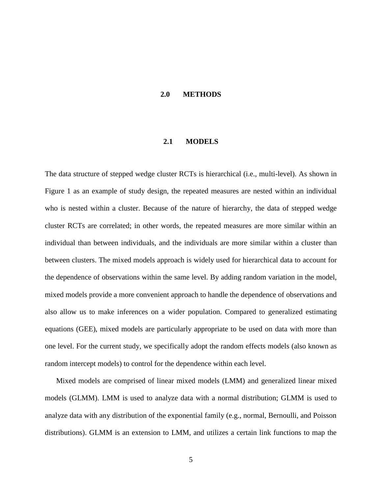#### **2.0 METHODS**

#### **2.1 MODELS**

<span id="page-12-1"></span><span id="page-12-0"></span>The data structure of stepped wedge cluster RCTs is hierarchical (i.e., multi-level). As shown in [Figure 1](#page-32-1) as an example of study design, the repeated measures are nested within an individual who is nested within a cluster. Because of the nature of hierarchy, the data of stepped wedge cluster RCTs are correlated; in other words, the repeated measures are more similar within an individual than between individuals, and the individuals are more similar within a cluster than between clusters. The mixed models approach is widely used for hierarchical data to account for the dependence of observations within the same level. By adding random variation in the model, mixed models provide a more convenient approach to handle the dependence of observations and also allow us to make inferences on a wider population. Compared to generalized estimating equations (GEE), mixed models are particularly appropriate to be used on data with more than one level. For the current study, we specifically adopt the random effects models (also known as random intercept models) to control for the dependence within each level.

Mixed models are comprised of linear mixed models (LMM) and generalized linear mixed models (GLMM). LMM is used to analyze data with a normal distribution; GLMM is used to analyze data with any distribution of the exponential family (e.g., normal, Bernoulli, and Poisson distributions). GLMM is an extension to LMM, and utilizes a certain link functions to map the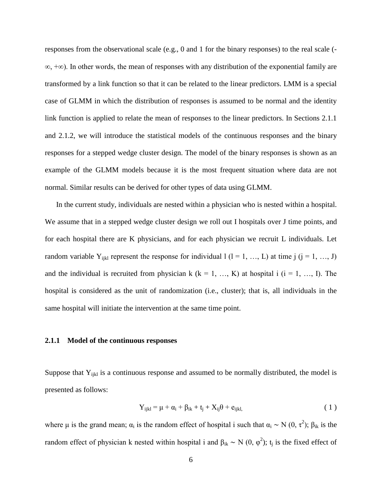responses from the observational scale (e.g., 0 and 1 for the binary responses) to the real scale ( $\overline{\phantom{a}}$ ∞, +∞). In other words, the mean of responses with any distribution of the exponential family are transformed by a link function so that it can be related to the linear predictors. LMM is a special case of GLMM in which the distribution of responses is assumed to be normal and the identity link function is applied to relate the mean of responses to the linear predictors. In Sections 2.1.1 and 2.1.2, we will introduce the statistical models of the continuous responses and the binary responses for a stepped wedge cluster design. The model of the binary responses is shown as an example of the GLMM models because it is the most frequent situation where data are not normal. Similar results can be derived for other types of data using GLMM.

In the current study, individuals are nested within a physician who is nested within a hospital. We assume that in a stepped wedge cluster design we roll out I hospitals over J time points, and for each hospital there are K physicians, and for each physician we recruit L individuals. Let random variable Y<sub>ijkl</sub> represent the response for individual  $l$  ( $l$  = 1, …, L) at time j ( $j$  = 1, …, J) and the individual is recruited from physician k ( $k = 1, ..., K$ ) at hospital i ( $i = 1, ..., I$ ). The hospital is considered as the unit of randomization (i.e., cluster); that is, all individuals in the same hospital will initiate the intervention at the same time point.

#### <span id="page-13-0"></span>**2.1.1 Model of the continuous responses**

Suppose that  $Y_{ijkl}$  is a continuous response and assumed to be normally distributed, the model is presented as follows:

<span id="page-13-1"></span>
$$
Y_{ijkl} = \mu + \alpha_i + \beta_{ik} + t_j + X_{ij}\theta + e_{ijkl},
$$
\n(1)

where  $\mu$  is the grand mean;  $\alpha_i$  is the random effect of hospital i such that  $\alpha_i \sim N(0, \tau^2)$ ;  $\beta_{ik}$  is the random effect of physician k nested within hospital i and  $\beta_{ik} \sim N(0, \varphi^2)$ ; t<sub>j</sub> is the fixed effect of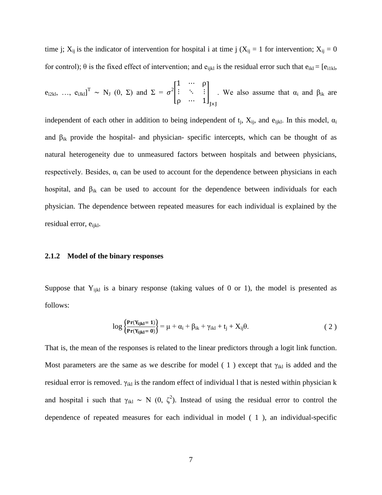time j;  $X_{ij}$  is the indicator of intervention for hospital i at time j ( $X_{ij} = 1$  for intervention;  $X_{ij} = 0$ for control);  $\theta$  is the fixed effect of intervention; and e<sub>ijkl</sub> is the residual error such that  $e_{ikl} = [e_{i1kl}]$ ,

$$
e_{i2kl}
$$
, ...,  $e_{iJkl}$   $^{T} \sim N_{J}$  (0,  $\Sigma$ ) and  $\Sigma = \sigma^{2} \begin{bmatrix} 1 & \cdots & \rho \\ \vdots & \ddots & \vdots \\ \rho & \cdots & 1 \end{bmatrix}_{J\times J}$ . We also assume that  $\alpha_{i}$  and  $\beta_{ik}$  are

independent of each other in addition to being independent of  $t_j$ ,  $X_{ij}$ , and  $e_{ijkl}$ . In this model,  $\alpha_i$ and  $\beta_{ik}$  provide the hospital- and physician- specific intercepts, which can be thought of as natural heterogeneity due to unmeasured factors between hospitals and between physicians, respectively. Besides,  $\alpha_i$  can be used to account for the dependence between physicians in each hospital, and  $\beta_{ik}$  can be used to account for the dependence between individuals for each physician. The dependence between repeated measures for each individual is explained by the residual error, e<sub>ijkl</sub>.

#### <span id="page-14-0"></span>**2.1.2 Model of the binary responses**

Suppose that  $Y_{ijkl}$  is a binary response (taking values of 0 or 1), the model is presented as follows:

<span id="page-14-1"></span>
$$
\log \left\{ \frac{\mathbf{Pr}(Y_{ijkl} = 1)}{\mathbf{Pr}(Y_{ijkl} = 0)} \right\} = \mu + \alpha_i + \beta_{ik} + \gamma_{ikl} + t_j + X_{ij}\theta. \tag{2}
$$

That is, the mean of the responses is related to the linear predictors through a logit link function. Most parameters are the same as we describe for model (1) except that  $\gamma_{ikl}$  is added and the residual error is removed.  $\gamma_{ikl}$  is the random effect of individual l that is nested within physician k and hospital i such that  $\gamma_{ikl} \sim N(0, \zeta^2)$ . Instead of using the residual error to control the dependence of repeated measures for each individual in model [\( 1](#page-13-1) ), an individual-specific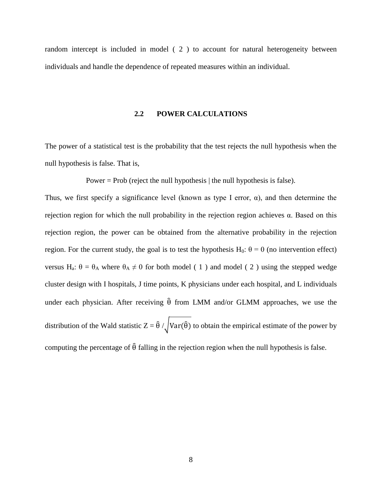<span id="page-15-0"></span>random intercept is included in model [\( 2](#page-14-1) ) to account for natural heterogeneity between individuals and handle the dependence of repeated measures within an individual.

#### **2.2 POWER CALCULATIONS**

The power of a statistical test is the probability that the test rejects the null hypothesis when the null hypothesis is false. That is,

Power = Prob (reject the null hypothesis  $\vert$  the null hypothesis is false).

Thus, we first specify a significance level (known as type I error,  $\alpha$ ), and then determine the rejection region for which the null probability in the rejection region achieves α. Based on this rejection region, the power can be obtained from the alternative probability in the rejection region. For the current study, the goal is to test the hypothesis H<sub>0</sub>:  $\theta = 0$  (no intervention effect) versus H<sub>a</sub>:  $\theta = \theta_A$  where  $\theta_A \neq 0$  for both model (1) and model (2) using the stepped wedge cluster design with I hospitals, J time points, K physicians under each hospital, and L individuals under each physician. After receiving  $\hat{\theta}$  from LMM and/or GLMM approaches, we use the distribution of the Wald statistic  $Z = \hat{\theta} / \sqrt{Var(\hat{\theta})}$  to obtain the empirical estimate of the power by computing the percentage of  $\hat{\theta}$  falling in the rejection region when the null hypothesis is false.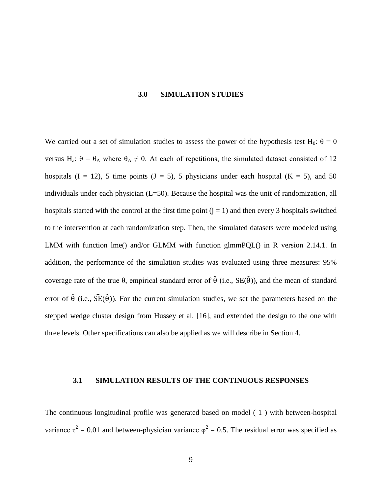#### **3.0 SIMULATION STUDIES**

<span id="page-16-0"></span>We carried out a set of simulation studies to assess the power of the hypothesis test H<sub>0</sub>:  $\theta = 0$ versus H<sub>a</sub>:  $\theta = \theta_A$  where  $\theta_A \neq 0$ . At each of repetitions, the simulated dataset consisted of 12 hospitals  $(I = 12)$ , 5 time points  $(J = 5)$ , 5 physicians under each hospital  $(K = 5)$ , and 50 individuals under each physician (L=50). Because the hospital was the unit of randomization, all hospitals started with the control at the first time point  $(j = 1)$  and then every 3 hospitals switched to the intervention at each randomization step. Then, the simulated datasets were modeled using LMM with function lme() and/or GLMM with function glmmPQL() in R version 2.14.1. In addition, the performance of the simulation studies was evaluated using three measures: 95% coverage rate of the true θ, empirical standard error of  $\hat{\theta}$  (i.e.,  $SE(\hat{\theta})$ ), and the mean of standard error of  $\hat{\theta}$  (i.e.,  $\widehat{SE}(\hat{\theta})$ ). For the current simulation studies, we set the parameters based on the stepped wedge cluster design from Hussey et al. [16], and extended the design to the one with three levels. Other specifications can also be applied as we will describe in Section 4.

#### <span id="page-16-1"></span>**3.1 SIMULATION RESULTS OF THE CONTINUOUS RESPONSES**

The continuous longitudinal profile was generated based on model [\( 1](#page-13-1) ) with between-hospital variance  $\tau^2 = 0.01$  and between-physician variance  $\varphi^2 = 0.5$ . The residual error was specified as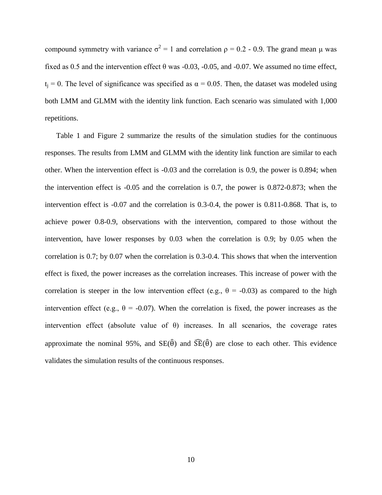compound symmetry with variance  $\sigma^2 = 1$  and correlation  $ρ = 0.2 - 0.9$ . The grand mean μ was fixed as 0.5 and the intervention effect  $\theta$  was -0.03, -0.05, and -0.07. We assumed no time effect,  $t_i = 0$ . The level of significance was specified as  $\alpha = 0.05$ . Then, the dataset was modeled using both LMM and GLMM with the identity link function. Each scenario was simulated with 1,000 repetitions.

[Table 1](#page-26-1) and [Figure 2](#page-33-1) summarize the results of the simulation studies for the continuous responses. The results from LMM and GLMM with the identity link function are similar to each other. When the intervention effect is -0.03 and the correlation is 0.9, the power is 0.894; when the intervention effect is -0.05 and the correlation is 0.7, the power is 0.872-0.873; when the intervention effect is -0.07 and the correlation is 0.3-0.4, the power is 0.811-0.868. That is, to achieve power 0.8-0.9, observations with the intervention, compared to those without the intervention, have lower responses by 0.03 when the correlation is 0.9; by 0.05 when the correlation is 0.7; by 0.07 when the correlation is 0.3-0.4. This shows that when the intervention effect is fixed, the power increases as the correlation increases. This increase of power with the correlation is steeper in the low intervention effect (e.g.,  $\theta = -0.03$ ) as compared to the high intervention effect (e.g.,  $\theta = -0.07$ ). When the correlation is fixed, the power increases as the intervention effect (absolute value of  $\theta$ ) increases. In all scenarios, the coverage rates approximate the nominal 95%, and  $SE(\hat{\theta})$  and  $\widehat{SE}(\hat{\theta})$  are close to each other. This evidence validates the simulation results of the continuous responses.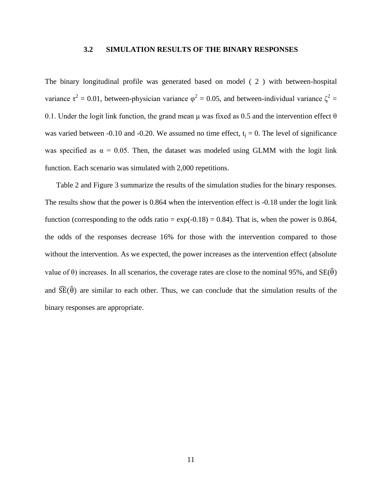#### **3.2 SIMULATION RESULTS OF THE BINARY RESPONSES**

<span id="page-18-0"></span>The binary longitudinal profile was generated based on model [\( 2](#page-14-1) ) with between-hospital variance  $\tau^2 = 0.01$ , between-physician variance  $\varphi^2 = 0.05$ , and between-individual variance  $\zeta^2 =$ 0.1. Under the logit link function, the grand mean  $\mu$  was fixed as 0.5 and the intervention effect  $\theta$ was varied between -0.10 and -0.20. We assumed no time effect,  $t_i = 0$ . The level of significance was specified as  $\alpha = 0.05$ . Then, the dataset was modeled using GLMM with the logit link function. Each scenario was simulated with 2,000 repetitions.

[Table 2](#page-27-0) and [Figure 3](#page-34-1) summarize the results of the simulation studies for the binary responses. The results show that the power is 0.864 when the intervention effect is -0.18 under the logit link function (corresponding to the odds ratio =  $\exp(-0.18) = 0.84$ ). That is, when the power is 0.864, the odds of the responses decrease 16% for those with the intervention compared to those without the intervention. As we expected, the power increases as the intervention effect (absolute value of  $\theta$ ) increases. In all scenarios, the coverage rates are close to the nominal 95%, and  $SE(\hat{\theta})$ and  $\widehat{SE}(\widehat{\theta})$  are similar to each other. Thus, we can conclude that the simulation results of the binary responses are appropriate.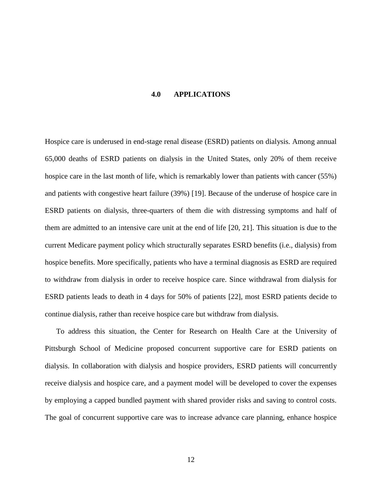#### **4.0 APPLICATIONS**

<span id="page-19-0"></span>Hospice care is underused in end-stage renal disease (ESRD) patients on dialysis. Among annual 65,000 deaths of ESRD patients on dialysis in the United States, only 20% of them receive hospice care in the last month of life, which is remarkably lower than patients with cancer (55%) and patients with congestive heart failure (39%) [19]. Because of the underuse of hospice care in ESRD patients on dialysis, three-quarters of them die with distressing symptoms and half of them are admitted to an intensive care unit at the end of life [20, 21]. This situation is due to the current Medicare payment policy which structurally separates ESRD benefits (i.e., dialysis) from hospice benefits. More specifically, patients who have a terminal diagnosis as ESRD are required to withdraw from dialysis in order to receive hospice care. Since withdrawal from dialysis for ESRD patients leads to death in 4 days for 50% of patients [22], most ESRD patients decide to continue dialysis, rather than receive hospice care but withdraw from dialysis.

To address this situation, the Center for Research on Health Care at the University of Pittsburgh School of Medicine proposed concurrent supportive care for ESRD patients on dialysis. In collaboration with dialysis and hospice providers, ESRD patients will concurrently receive dialysis and hospice care, and a payment model will be developed to cover the expenses by employing a capped bundled payment with shared provider risks and saving to control costs. The goal of concurrent supportive care was to increase advance care planning, enhance hospice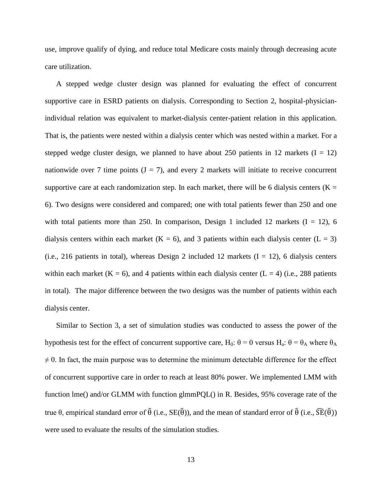use, improve qualify of dying, and reduce total Medicare costs mainly through decreasing acute care utilization.

A stepped wedge cluster design was planned for evaluating the effect of concurrent supportive care in ESRD patients on dialysis. Corresponding to Section 2, hospital-physicianindividual relation was equivalent to market-dialysis center-patient relation in this application. That is, the patients were nested within a dialysis center which was nested within a market. For a stepped wedge cluster design, we planned to have about 250 patients in 12 markets  $(I = 12)$ nationwide over 7 time points  $(J = 7)$ , and every 2 markets will initiate to receive concurrent supportive care at each randomization step. In each market, there will be 6 dialysis centers ( $K =$ 6). Two designs were considered and compared; one with total patients fewer than 250 and one with total patients more than 250. In comparison, Design 1 included 12 markets  $(I = 12)$ , 6 dialysis centers within each market ( $K = 6$ ), and 3 patients within each dialysis center ( $L = 3$ ) (i.e., 216 patients in total), whereas Design 2 included 12 markets  $(I = 12)$ , 6 dialysis centers within each market ( $K = 6$ ), and 4 patients within each dialysis center ( $L = 4$ ) (i.e., 288 patients in total). The major difference between the two designs was the number of patients within each dialysis center.

Similar to Section 3, a set of simulation studies was conducted to assess the power of the hypothesis test for the effect of concurrent supportive care, H<sub>0</sub>:  $\theta = 0$  versus H<sub>a</sub>:  $\theta = \theta_A$  where  $\theta_A$  $\neq$  0. In fact, the main purpose was to determine the minimum detectable difference for the effect of concurrent supportive care in order to reach at least 80% power. We implemented LMM with function lme() and/or GLMM with function glmmPQL() in R. Besides, 95% coverage rate of the true θ, empirical standard error of  $\hat{\theta}$  (i.e., SE( $\hat{\theta}$ )), and the mean of standard error of  $\hat{\theta}$  (i.e.,  $\hat{\text{SE}}(\hat{\theta})$ ) were used to evaluate the results of the simulation studies.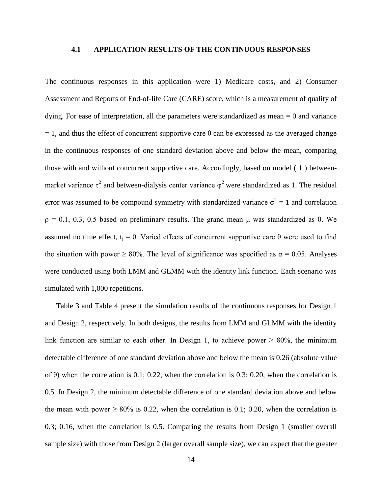#### <span id="page-21-0"></span>**4.1 APPLICATION RESULTS OF THE CONTINUOUS RESPONSES**

The continuous responses in this application were 1) Medicare costs, and 2) Consumer Assessment and Reports of End-of-life Care (CARE) score, which is a measurement of quality of dying. For ease of interpretation, all the parameters were standardized as mean  $= 0$  and variance  $= 1$ , and thus the effect of concurrent supportive care  $\theta$  can be expressed as the averaged change in the continuous responses of one standard deviation above and below the mean, comparing those with and without concurrent supportive care. Accordingly, based on model [\( 1](#page-13-1) ) betweenmarket variance  $\tau^2$  and between-dialysis center variance  $\varphi^2$  were standardized as 1. The residual error was assumed to be compound symmetry with standardized variance  $\sigma^2 = 1$  and correlation  $p = 0.1, 0.3, 0.5$  based on preliminary results. The grand mean  $\mu$  was standardized as 0. We assumed no time effect,  $t_i = 0$ . Varied effects of concurrent supportive care θ were used to find the situation with power  $\geq 80\%$ . The level of significance was specified as  $\alpha = 0.05$ . Analyses were conducted using both LMM and GLMM with the identity link function. Each scenario was simulated with 1,000 repetitions.

[Table 3](#page-28-0) and [Table 4](#page-29-0) present the simulation results of the continuous responses for Design 1 and Design 2, respectively. In both designs, the results from LMM and GLMM with the identity link function are similar to each other. In Design 1, to achieve power  $\geq 80\%$ , the minimum detectable difference of one standard deviation above and below the mean is 0.26 (absolute value of  $\theta$ ) when the correlation is 0.1; 0.22, when the correlation is 0.3; 0.20, when the correlation is 0.5. In Design 2, the minimum detectable difference of one standard deviation above and below the mean with power  $\geq 80\%$  is 0.22, when the correlation is 0.1; 0.20, when the correlation is 0.3; 0.16, when the correlation is 0.5. Comparing the results from Design 1 (smaller overall sample size) with those from Design 2 (larger overall sample size), we can expect that the greater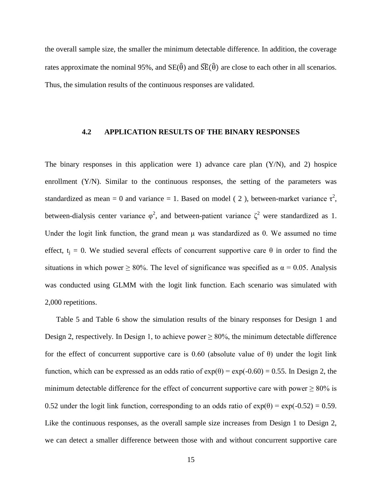the overall sample size, the smaller the minimum detectable difference. In addition, the coverage rates approximate the nominal 95%, and  $SE(\hat{\theta})$  and  $\widehat{SE}(\hat{\theta})$  are close to each other in all scenarios. Thus, the simulation results of the continuous responses are validated.

#### <span id="page-22-0"></span>**4.2 APPLICATION RESULTS OF THE BINARY RESPONSES**

The binary responses in this application were 1) advance care plan  $(Y/N)$ , and 2) hospice enrollment  $(Y/N)$ . Similar to the continuous responses, the setting of the parameters was standardized as mean = 0 and variance = 1. Based on model (2), between-market variance  $\tau^2$ , between-dialysis center variance  $\varphi^2$ , and between-patient variance  $\zeta^2$  were standardized as 1. Under the logit link function, the grand mean μ was standardized as 0. We assumed no time effect,  $t_i = 0$ . We studied several effects of concurrent supportive care  $\theta$  in order to find the situations in which power  $\geq 80\%$ . The level of significance was specified as  $\alpha = 0.05$ . Analysis was conducted using GLMM with the logit link function. Each scenario was simulated with 2,000 repetitions.

[Table 5](#page-30-0) and [Table 6](#page-31-0) show the simulation results of the binary responses for Design 1 and Design 2, respectively. In Design 1, to achieve power  $\geq 80\%$ , the minimum detectable difference for the effect of concurrent supportive care is 0.60 (absolute value of θ) under the logit link function, which can be expressed as an odds ratio of  $exp(\theta) = exp(-0.60) = 0.55$ . In Design 2, the minimum detectable difference for the effect of concurrent supportive care with power  $\geq 80\%$  is 0.52 under the logit link function, corresponding to an odds ratio of  $exp(\theta) = exp(-0.52) = 0.59$ . Like the continuous responses, as the overall sample size increases from Design 1 to Design 2, we can detect a smaller difference between those with and without concurrent supportive care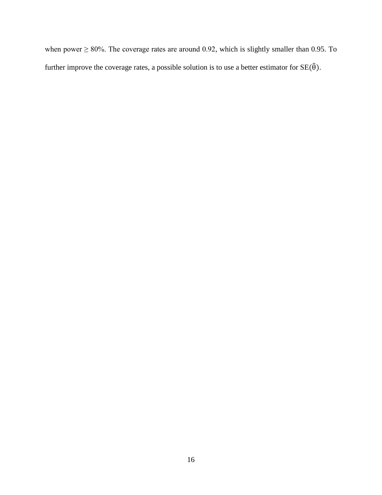when power  $\geq 80\%$ . The coverage rates are around 0.92, which is slightly smaller than 0.95. To further improve the coverage rates, a possible solution is to use a better estimator for  $SE(\hat{\theta})$ .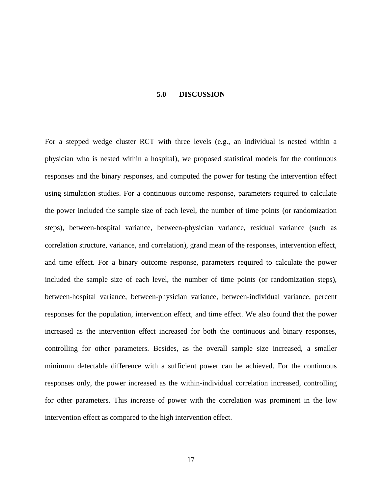#### **5.0 DISCUSSION**

<span id="page-24-0"></span>For a stepped wedge cluster RCT with three levels (e.g., an individual is nested within a physician who is nested within a hospital), we proposed statistical models for the continuous responses and the binary responses, and computed the power for testing the intervention effect using simulation studies. For a continuous outcome response, parameters required to calculate the power included the sample size of each level, the number of time points (or randomization steps), between-hospital variance, between-physician variance, residual variance (such as correlation structure, variance, and correlation), grand mean of the responses, intervention effect, and time effect. For a binary outcome response, parameters required to calculate the power included the sample size of each level, the number of time points (or randomization steps), between-hospital variance, between-physician variance, between-individual variance, percent responses for the population, intervention effect, and time effect. We also found that the power increased as the intervention effect increased for both the continuous and binary responses, controlling for other parameters. Besides, as the overall sample size increased, a smaller minimum detectable difference with a sufficient power can be achieved. For the continuous responses only, the power increased as the within-individual correlation increased, controlling for other parameters. This increase of power with the correlation was prominent in the low intervention effect as compared to the high intervention effect.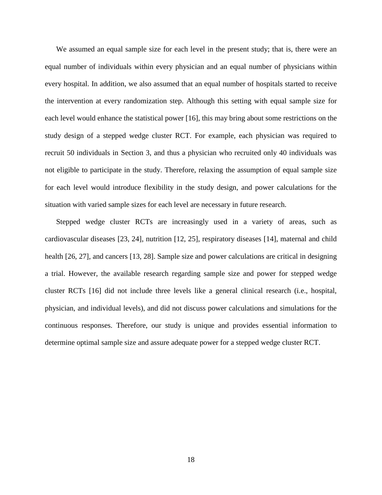We assumed an equal sample size for each level in the present study; that is, there were an equal number of individuals within every physician and an equal number of physicians within every hospital. In addition, we also assumed that an equal number of hospitals started to receive the intervention at every randomization step. Although this setting with equal sample size for each level would enhance the statistical power [16], this may bring about some restrictions on the study design of a stepped wedge cluster RCT. For example, each physician was required to recruit 50 individuals in Section 3, and thus a physician who recruited only 40 individuals was not eligible to participate in the study. Therefore, relaxing the assumption of equal sample size for each level would introduce flexibility in the study design, and power calculations for the situation with varied sample sizes for each level are necessary in future research.

Stepped wedge cluster RCTs are increasingly used in a variety of areas, such as cardiovascular diseases [23, 24], nutrition [12, 25], respiratory diseases [14], maternal and child health [26, 27], and cancers [13, 28]. Sample size and power calculations are critical in designing a trial. However, the available research regarding sample size and power for stepped wedge cluster RCTs [16] did not include three levels like a general clinical research (i.e., hospital, physician, and individual levels), and did not discuss power calculations and simulations for the continuous responses. Therefore, our study is unique and provides essential information to determine optimal sample size and assure adequate power for a stepped wedge cluster RCT.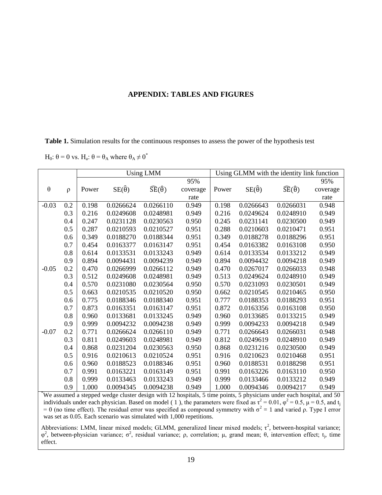#### **APPENDIX: TABLES AND FIGURES**

<span id="page-26-1"></span><span id="page-26-0"></span>**Table 1.** Simulation results for the continuous responses to assess the power of the hypothesis test

H<sub>0</sub>: θ = 0 vs. H<sub>a</sub>: θ = θ<sub>A</sub> where θ<sub>A</sub>  $\neq$  0<sup>\*</sup>

|         |        |       |                    | <b>Using LMM</b>                 |          |       |                    | Using GLMM with the identity link function |          |
|---------|--------|-------|--------------------|----------------------------------|----------|-------|--------------------|--------------------------------------------|----------|
|         |        |       |                    |                                  | 95%      |       |                    |                                            | 95%      |
| θ       | $\rho$ | Power | $SE(\hat{\theta})$ | $\widehat{SE}(\widehat{\theta})$ | coverage | Power | $SE(\hat{\theta})$ | $\widehat{SE}(\widehat{\theta})$           | coverage |
|         |        |       |                    |                                  | rate     |       |                    |                                            | rate     |
| $-0.03$ | 0.2    | 0.198 | 0.0266624          | 0.0266110                        | 0.949    | 0.198 | 0.0266643          | 0.0266031                                  | 0.948    |
|         | 0.3    | 0.216 | 0.0249608          | 0.0248981                        | 0.949    | 0.216 | 0.0249624          | 0.0248910                                  | 0.949    |
|         | 0.4    | 0.247 | 0.0231128          | 0.0230563                        | 0.950    | 0.245 | 0.0231141          | 0.0230500                                  | 0.949    |
|         | 0.5    | 0.287 | 0.0210593          | 0.0210527                        | 0.951    | 0.288 | 0.0210603          | 0.0210471                                  | 0.951    |
|         | 0.6    | 0.349 | 0.0188270          | 0.0188344                        | 0.951    | 0.349 | 0.0188278          | 0.0188296                                  | 0.951    |
|         | 0.7    | 0.454 | 0.0163377          | 0.0163147                        | 0.951    | 0.454 | 0.0163382          | 0.0163108                                  | 0.950    |
|         | 0.8    | 0.614 | 0.0133531          | 0.0133243                        | 0.949    | 0.614 | 0.0133534          | 0.0133212                                  | 0.949    |
|         | 0.9    | 0.894 | 0.0094431          | 0.0094239                        | 0.949    | 0.894 | 0.0094432          | 0.0094218                                  | 0.949    |
| $-0.05$ | 0.2    | 0.470 | 0.0266999          | 0.0266112                        | 0.949    | 0.470 | 0.0267017          | 0.0266033                                  | 0.948    |
|         | 0.3    | 0.512 | 0.0249608          | 0.0248981                        | 0.949    | 0.513 | 0.0249624          | 0.0248910                                  | 0.949    |
|         | 0.4    | 0.570 | 0.0231080          | 0.0230564                        | 0.950    | 0.570 | 0.0231093          | 0.0230501                                  | 0.949    |
|         | 0.5    | 0.663 | 0.0210535          | 0.0210520                        | 0.950    | 0.662 | 0.0210545          | 0.0210465                                  | 0.950    |
|         | 0.6    | 0.775 | 0.0188346          | 0.0188340                        | 0.951    | 0.777 | 0.0188353          | 0.0188293                                  | 0.951    |
|         | 0.7    | 0.873 | 0.0163351          | 0.0163147                        | 0.951    | 0.872 | 0.0163356          | 0.0163108                                  | 0.950    |
|         | 0.8    | 0.960 | 0.0133681          | 0.0133245                        | 0.949    | 0.960 | 0.0133685          | 0.0133215                                  | 0.949    |
|         | 0.9    | 0.999 | 0.0094232          | 0.0094238                        | 0.949    | 0.999 | 0.0094233          | 0.0094218                                  | 0.949    |
| $-0.07$ | 0.2    | 0.771 | 0.0266624          | 0.0266110                        | 0.949    | 0.771 | 0.0266643          | 0.0266031                                  | 0.948    |
|         | 0.3    | 0.811 | 0.0249603          | 0.0248981                        | 0.949    | 0.812 | 0.0249619          | 0.0248910                                  | 0.949    |
|         | 0.4    | 0.868 | 0.0231204          | 0.0230563                        | 0.950    | 0.868 | 0.0231216          | 0.0230500                                  | 0.949    |
|         | 0.5    | 0.916 | 0.0210613          | 0.0210524                        | 0.951    | 0.916 | 0.0210623          | 0.0210468                                  | 0.951    |
|         | 0.6    | 0.960 | 0.0188523          | 0.0188346                        | 0.951    | 0.960 | 0.0188531          | 0.0188298                                  | 0.951    |
|         | 0.7    | 0.991 | 0.0163221          | 0.0163149                        | 0.951    | 0.991 | 0.0163226          | 0.0163110                                  | 0.950    |
|         | 0.8    | 0.999 | 0.0133463          | 0.0133243                        | 0.949    | 0.999 | 0.0133466          | 0.0133212                                  | 0.949    |
|         | 0.9    | 1.000 | 0.0094345          | 0.0094238                        | 0.949    | 1.000 | 0.0094346          | 0.0094217                                  | 0.949    |

\*We assumed a stepped wedge cluster design with 12 hospitals, 5 time points, 5 physicians under each hospital, and 50 individuals under each physician. Based on model (1), the parameters were fixed as  $\tau^2 = 0.01$ ,  $\varphi^2 = 0.5$ ,  $\mu = 0.5$ , and t<sub>i</sub> = 0 (no time effect). The residual error was specified as compound symmetry with  $\sigma^2 = 1$  and varied  $\rho$ . Type I error was set as 0.05. Each scenario was simulated with 1,000 repetitions.

Abbreviations: LMM, linear mixed models; GLMM, generalized linear mixed models;  $\tau^2$ , between-hospital variance;  $φ<sup>2</sup>$ , between-physician variance;  $σ<sup>2</sup>$ , residual variance;  $ρ$ , correlation;  $μ$ , grand mean;  $θ$ , intervention effect;  $t<sub>j</sub>$ , time effect.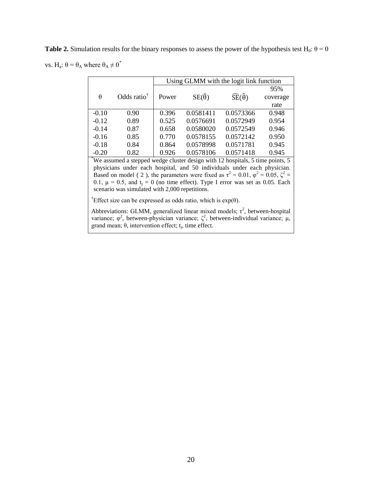<span id="page-27-0"></span>**Table 2.** Simulation results for the binary responses to assess the power of the hypothesis test H<sub>0</sub>:  $\theta = 0$ vs. H<sub>a</sub>:  $θ = θ_A$  where  $θ_A ≠ 0^*$ 

|         |                         | Using GLMM with the logit link function |                    |                              |          |  |  |  |
|---------|-------------------------|-----------------------------------------|--------------------|------------------------------|----------|--|--|--|
|         |                         |                                         |                    |                              | 95%      |  |  |  |
| θ       | Odds ratio <sup>†</sup> | Power                                   | $SE(\hat{\theta})$ | $\widehat{SE}(\hat{\theta})$ | coverage |  |  |  |
|         |                         |                                         |                    |                              | rate     |  |  |  |
| $-0.10$ | 0.90                    | 0.396                                   | 0.0581411          | 0.0573366                    | 0.948    |  |  |  |
| $-0.12$ | 0.89                    | 0.525                                   | 0.0576691          | 0.0572949                    | 0.954    |  |  |  |
| $-0.14$ | 0.87                    | 0.658                                   | 0.0580020          | 0.0572549                    | 0.946    |  |  |  |
| $-0.16$ | 0.85                    | 0.770                                   | 0.0578155          | 0.0572142                    | 0.950    |  |  |  |
| $-0.18$ | 0.84                    | 0.864                                   | 0.0578998          | 0.0571781                    | 0.945    |  |  |  |
| $-0.20$ | 0.82                    | 0.926                                   | 0.0578106          | 0.0571418                    | 0.945    |  |  |  |
|         |                         |                                         |                    |                              |          |  |  |  |

\*We assumed a stepped wedge cluster design with 12 hospitals, 5 time points, 5 physicians under each hospital, and 50 individuals under each physician. Based on model (2), the parameters were fixed as  $\tau^2 = 0.01$ ,  $\varphi^2 = 0.05$ ,  $\zeta^2 =$ 0.1,  $\mu = 0.5$ , and  $t_j = 0$  (no time effect). Type I error was set as 0.05. Each scenario was simulated with 2,000 repetitions.

<sup>†</sup>Effect size can be expressed as odds ratio, which is  $exp(\theta)$ .

Abbreviations: GLMM, generalized linear mixed models;  $\tau^2$ , between-hospital variance; φ<sup>2</sup>, between-physician variance;  $\zeta^2$ , between-individual variance; μ, grand mean;  $\theta$ , intervention effect;  $t_j$ , time effect.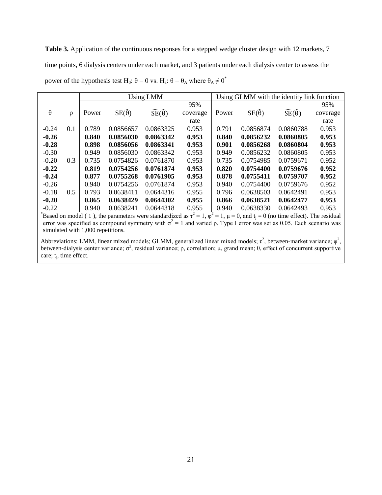<span id="page-28-0"></span>Table 3. Application of the continuous responses for a stepped wedge cluster design with 12 markets, 7 time points, 6 dialysis centers under each market, and 3 patients under each dialysis center to assess the power of the hypothesis test H<sub>0</sub>:  $\theta = 0$  vs. H<sub>a</sub>:  $\theta = \theta_A$  where  $\theta_A \neq 0^*$ 

|     |       |           |                    |                                                      |                 |           |                    | 95%                                                                            |
|-----|-------|-----------|--------------------|------------------------------------------------------|-----------------|-----------|--------------------|--------------------------------------------------------------------------------|
|     |       |           |                    |                                                      |                 |           |                    | coverage                                                                       |
|     |       |           |                    | rate                                                 |                 |           |                    | rate                                                                           |
| 0.1 | 0.789 | 0.0856657 | 0.0863325          | 0.953                                                | 0.791           | 0.0856874 | 0.0860788          | 0.953                                                                          |
|     | 0.840 | 0.0856030 | 0.0863342          | 0.953                                                | 0.840           | 0.0856232 | 0.0860805          | 0.953                                                                          |
|     | 0.898 | 0.0856056 | 0.0863341          | 0.953                                                | 0.901           | 0.0856268 | 0.0860804          | 0.953                                                                          |
|     | 0.949 | 0.0856030 | 0.0863342          | 0.953                                                | 0.949           | 0.0856232 | 0.0860805          | 0.953                                                                          |
| 0.3 | 0.735 | 0.0754826 | 0.0761870          | 0.953                                                | 0.735           | 0.0754985 | 0.0759671          | 0.952                                                                          |
|     | 0.819 | 0.0754256 | 0.0761874          | 0.953                                                | 0.820           | 0.0754400 | 0.0759676          | 0.952                                                                          |
|     | 0.877 | 0.0755268 | 0.0761905          | 0.953                                                | 0.878           | 0.0755411 | 0.0759707          | 0.952                                                                          |
|     | 0.940 | 0.0754256 | 0.0761874          | 0.953                                                | 0.940           | 0.0754400 | 0.0759676          | 0.952                                                                          |
| 0.5 | 0.793 | 0.0638411 | 0.0644316          | 0.955                                                | 0.796           | 0.0638503 | 0.0642491          | 0.953                                                                          |
|     | 0.865 | 0.0638429 | 0.0644302          | 0.955                                                | 0.866           | 0.0638521 | 0.0642477          | 0.953                                                                          |
|     | 0.940 | 0.0638241 | 0.0644318          | 0.955                                                | 0.940           | 0.0638330 | 0.0642493          | 0.953                                                                          |
|     | ρ     | Power     | $SE(\hat{\theta})$ | <b>Using LMM</b><br>$\widehat{SE}(\widehat{\theta})$ | 95%<br>coverage | Power     | $SE(\hat{\theta})$ | Using GLMM with the identity link function<br>$\widehat{SE}(\widehat{\theta})$ |

<sup>\*</sup>Based on model (1), the parameters were standardized as  $\tau^2 = 1$ ,  $\varphi^2 = 1$ ,  $\mu = 0$ , and t<sub>j</sub> = 0 (no time effect). The residual error was specified as compound symmetry with  $\sigma^2 = 1$  and varied  $\rho$ . Type I error was set as 0.05. Each scenario was simulated with 1,000 repetitions.

Abbreviations: LMM, linear mixed models; GLMM, generalized linear mixed models;  $\tau^2$ , between-market variance;  $\varphi^2$ , between-dialysis center variance;  $\sigma^2$ , residual variance;  $\rho$ , correlation;  $\mu$ , grand mean;  $\theta$ , effect of concurrent supportive care; t<sub>j</sub>, time effect.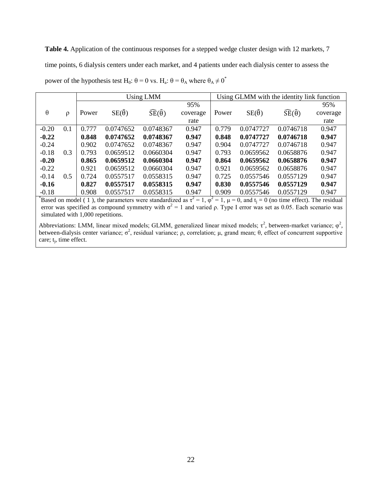<span id="page-29-0"></span>Table 4. Application of the continuous responses for a stepped wedge cluster design with 12 markets, 7 time points, 6 dialysis centers under each market, and 4 patients under each dialysis center to assess the power of the hypothesis test H<sub>0</sub>:  $\theta = 0$  vs. H<sub>a</sub>:  $\theta = \theta_A$  where  $\theta_A \neq 0^*$ 

|          |                     |       |                    | <b>Using LMM</b>                 |          |       | Using GLMM with the identity link function |                                  |          |
|----------|---------------------|-------|--------------------|----------------------------------|----------|-------|--------------------------------------------|----------------------------------|----------|
|          |                     |       |                    |                                  | 95%      |       |                                            |                                  | 95%      |
| $\theta$ | $\boldsymbol{\rho}$ | Power | $SE(\hat{\theta})$ | $\widehat{SE}(\widehat{\theta})$ | coverage | Power | $SE(\hat{\theta})$                         | $\widehat{SE}(\widehat{\theta})$ | coverage |
|          |                     |       |                    |                                  | rate     |       |                                            |                                  | rate     |
| $-0.20$  | 0.1                 | 0.777 | 0.0747652          | 0.0748367                        | 0.947    | 0.779 | 0.0747727                                  | 0.0746718                        | 0.947    |
| $-0.22$  |                     | 0.848 | 0.0747652          | 0.0748367                        | 0.947    | 0.848 | 0.0747727                                  | 0.0746718                        | 0.947    |
| $-0.24$  |                     | 0.902 | 0.0747652          | 0.0748367                        | 0.947    | 0.904 | 0.0747727                                  | 0.0746718                        | 0.947    |
| $-0.18$  | 0.3                 | 0.793 | 0.0659512          | 0.0660304                        | 0.947    | 0.793 | 0.0659562                                  | 0.0658876                        | 0.947    |
| $-0.20$  |                     | 0.865 | 0.0659512          | 0.0660304                        | 0.947    | 0.864 | 0.0659562                                  | 0.0658876                        | 0.947    |
| $-0.22$  |                     | 0.921 | 0.0659512          | 0.0660304                        | 0.947    | 0.921 | 0.0659562                                  | 0.0658876                        | 0.947    |
| $-0.14$  | 0.5                 | 0.724 | 0.0557517          | 0.0558315                        | 0.947    | 0.725 | 0.0557546                                  | 0.0557129                        | 0.947    |
| $-0.16$  |                     | 0.827 | 0.0557517          | 0.0558315                        | 0.947    | 0.830 | 0.0557546                                  | 0.0557129                        | 0.947    |
| $-0.18$  |                     | 0.908 | 0.0557517          | 0.0558315                        | 0.947    | 0.909 | 0.0557546                                  | 0.0557129                        | 0.947    |

<sup>\*</sup>Based on model (1), the parameters were standardized as  $\tau^2 = 1$ ,  $\varphi^2 = 1$ ,  $\mu = 0$ , and  $t_j = 0$  (no time effect). The residual error was specified as compound symmetry with  $\sigma^2 = 1$  and varied  $\rho$ . Type I error was set as 0.05. Each scenario was simulated with 1,000 repetitions.

Abbreviations: LMM, linear mixed models; GLMM, generalized linear mixed models;  $\tau^2$ , between-market variance;  $\varphi^2$ , between-dialysis center variance;  $\sigma^2$ , residual variance;  $\rho$ , correlation;  $\mu$ , grand mean;  $\theta$ , effect of concurrent supportive care; t<sub>j</sub>, time effect.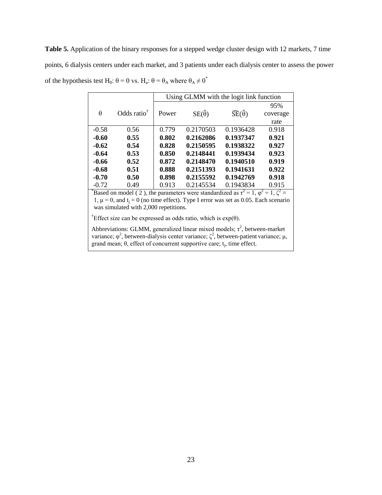<span id="page-30-0"></span>**Table 5.** Application of the binary responses for a stepped wedge cluster design with 12 markets, 7 time points, 6 dialysis centers under each market, and 3 patients under each dialysis center to assess the power of the hypothesis test H<sub>0</sub>:  $\theta = 0$  vs. H<sub>a</sub>:  $\theta = \theta_A$  where  $\theta_A \neq 0^*$ 

|         |                         | Using GLMM with the logit link function |                    |                                  |          |  |  |  |
|---------|-------------------------|-----------------------------------------|--------------------|----------------------------------|----------|--|--|--|
|         |                         |                                         |                    |                                  | 95%      |  |  |  |
| θ       | Odds ratio <sup>†</sup> | Power                                   | $SE(\hat{\theta})$ | $\widehat{SE}(\widehat{\theta})$ | coverage |  |  |  |
|         |                         |                                         |                    |                                  | rate     |  |  |  |
| $-0.58$ | 0.56                    | 0.779                                   | 0.2170503          | 0.1936428                        | 0.918    |  |  |  |
| $-0.60$ | 0.55                    | 0.802                                   | 0.2162086          | 0.1937347                        | 0.921    |  |  |  |
| $-0.62$ | 0.54                    | 0.828                                   | 0.2150595          | 0.1938322                        | 0.927    |  |  |  |
| $-0.64$ | 0.53                    | 0.850                                   | 0.2148441          | 0.1939434                        | 0.923    |  |  |  |
| -0.66   | 0.52                    | 0.872                                   | 0.2148470          | 0.1940510                        | 0.919    |  |  |  |
| $-0.68$ | 0.51                    | 0.888                                   | 0.2151393          | 0.1941631                        | 0.922    |  |  |  |
| $-0.70$ | 0.50                    | 0.898                                   | 0.2155592          | 0.1942769                        | 0.918    |  |  |  |
| $-0.72$ | 0.49                    | 0.913                                   | 0.2145534          | 0.1943834                        | 0.915    |  |  |  |

\*Based on model (2), the parameters were standardized as  $\tau^2 = 1$ ,  $\varphi^2 = 1$ ,  $\zeta^2 = 1$ 1,  $\mu = 0$ , and  $t_i = 0$  (no time effect). Type I error was set as 0.05. Each scenario was simulated with 2,000 repetitions.

<sup>†</sup>Effect size can be expressed as odds ratio, which is  $exp(\theta)$ .

Abbreviations: GLMM, generalized linear mixed models;  $\tau^2$ , between-market variance;  $\varphi^2$ , between-dialysis center variance; ζ<sup>2</sup>, between-patient variance; μ, grand mean;  $\theta$ , effect of concurrent supportive care;  $t_j$ , time effect.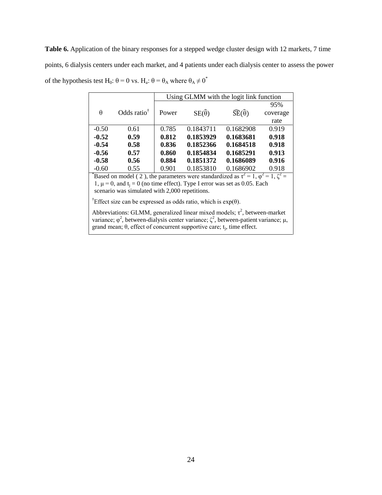<span id="page-31-0"></span>Table 6. Application of the binary responses for a stepped wedge cluster design with 12 markets, 7 time points, 6 dialysis centers under each market, and 4 patients under each dialysis center to assess the power of the hypothesis test H<sub>0</sub>:  $\theta = 0$  vs. H<sub>a</sub>:  $\theta = \theta_A$  where  $\theta_A \neq 0^*$ 

|          |                         | Using GLMM with the logit link function |                    |                                  |          |  |  |  |
|----------|-------------------------|-----------------------------------------|--------------------|----------------------------------|----------|--|--|--|
|          |                         |                                         |                    |                                  | 95%      |  |  |  |
| $\theta$ | Odds ratio <sup>†</sup> | Power                                   | $SE(\hat{\theta})$ | $\widehat{SE}(\widehat{\theta})$ | coverage |  |  |  |
|          |                         |                                         |                    |                                  | rate     |  |  |  |
| $-0.50$  | 0.61                    | 0.785                                   | 0.1843711          | 0.1682908                        | 0.919    |  |  |  |
| $-0.52$  | 0.59                    | 0.812                                   | 0.1853929          | 0.1683681                        | 0.918    |  |  |  |
| $-0.54$  | 0.58                    | 0.836                                   | 0.1852366          | 0.1684518                        | 0.918    |  |  |  |
| $-0.56$  | 0.57                    | 0.860                                   | 0.1854834          | 0.1685291                        | 0.913    |  |  |  |
| $-0.58$  | 0.56                    | 0.884                                   | 0.1851372          | 0.1686089                        | 0.916    |  |  |  |
| $-0.60$  | 0.55                    | 0.901                                   | 0.1853810          | 0.1686902                        | 0.918    |  |  |  |
| $*$      | .                       |                                         |                    | $2 - 1$                          | $\sim$   |  |  |  |

\*Based on model (2), the parameters were standardized as  $\tau^2 = 1$ ,  $\varphi^2 = 1$ ,  $\zeta^2 = 1$ 1,  $\mu = 0$ , and  $t_i = 0$  (no time effect). Type I error was set as 0.05. Each scenario was simulated with 2,000 repetitions.

<sup>†</sup>Effect size can be expressed as odds ratio, which is  $exp(\theta)$ .

Abbreviations: GLMM, generalized linear mixed models;  $\tau^2$ , between-market variance;  $\varphi^2$ , between-dialysis center variance; ζ<sup>2</sup>, between-patient variance; μ, grand mean;  $\theta$ , effect of concurrent supportive care;  $t_j$ , time effect.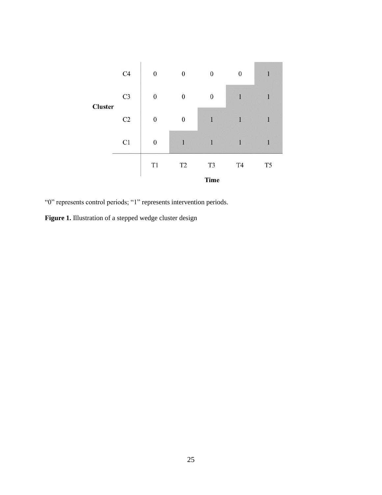<span id="page-32-0"></span>

"0" represents control periods; "1" represents intervention periods.

<span id="page-32-1"></span>**Figure 1.** Illustration of a stepped wedge cluster design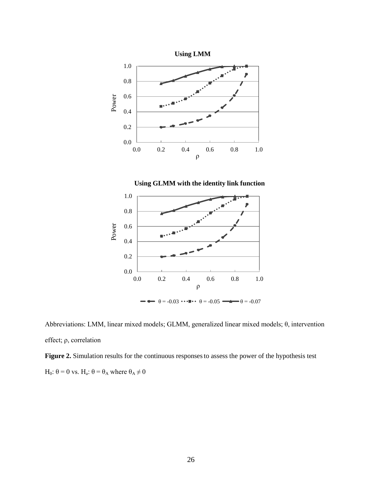<span id="page-33-0"></span>





Abbreviations: LMM, linear mixed models; GLMM, generalized linear mixed models; θ, intervention effect; ρ, correlation

<span id="page-33-1"></span>Figure 2. Simulation results for the continuous responses to assess the power of the hypothesis test H<sub>0</sub>:  $θ = 0$  vs. H<sub>a</sub>:  $θ = θ_A$  where  $θ_A ≠ 0$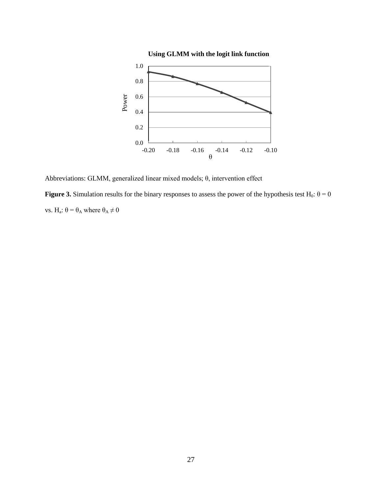<span id="page-34-0"></span>

Abbreviations: GLMM, generalized linear mixed models; θ, intervention effect

<span id="page-34-1"></span>**Figure 3.** Simulation results for the binary responses to assess the power of the hypothesis test H<sub>0</sub>:  $\theta = 0$ vs. H<sub>a</sub>:  $θ = θ_A$  where  $θ_A ≠ 0$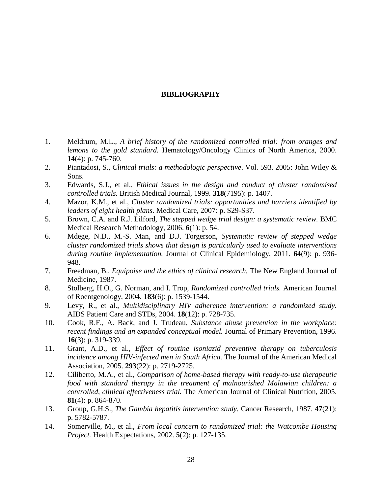#### **BIBLIOGRAPHY**

- <span id="page-35-0"></span>1. Meldrum, M.L., *A brief history of the randomized controlled trial: from oranges and lemons to the gold standard.* Hematology/Oncology Clinics of North America, 2000. **14**(4): p. 745-760.
- 2. Piantadosi, S., *Clinical trials: a methodologic perspective*. Vol. 593. 2005: John Wiley & Sons.
- 3. Edwards, S.J., et al., *Ethical issues in the design and conduct of cluster randomised controlled trials.* British Medical Journal, 1999. **318**(7195): p. 1407.
- 4. Mazor, K.M., et al., *Cluster randomized trials: opportunities and barriers identified by leaders of eight health plans.* Medical Care, 2007: p. S29-S37.
- 5. Brown, C.A. and R.J. Lilford, *The stepped wedge trial design: a systematic review.* BMC Medical Research Methodology, 2006. **6**(1): p. 54.
- 6. Mdege, N.D., M.-S. Man, and D.J. Torgerson, *Systematic review of stepped wedge cluster randomized trials shows that design is particularly used to evaluate interventions during routine implementation.* Journal of Clinical Epidemiology, 2011. **64**(9): p. 936- 948.
- 7. Freedman, B., *Equipoise and the ethics of clinical research.* The New England Journal of Medicine, 1987.
- 8. Stolberg, H.O., G. Norman, and I. Trop, *Randomized controlled trials.* American Journal of Roentgenology, 2004. **183**(6): p. 1539-1544.
- 9. Levy, R., et al., *Multidisciplinary HIV adherence intervention: a randomized study.* AIDS Patient Care and STDs, 2004. **18**(12): p. 728-735.
- 10. Cook, R.F., A. Back, and J. Trudeau, *Substance abuse prevention in the workplace: recent findings and an expanded conceptual model.* Journal of Primary Prevention, 1996. **16**(3): p. 319-339.
- 11. Grant, A.D., et al., *Effect of routine isoniazid preventive therapy on tuberculosis incidence among HIV-infected men in South Africa.* The Journal of the American Medical Association, 2005. **293**(22): p. 2719-2725.
- 12. Ciliberto, M.A., et al., *Comparison of home-based therapy with ready-to-use therapeutic food with standard therapy in the treatment of malnourished Malawian children: a controlled, clinical effectiveness trial.* The American Journal of Clinical Nutrition, 2005. **81**(4): p. 864-870.
- 13. Group, G.H.S., *The Gambia hepatitis intervention study.* Cancer Research, 1987. **47**(21): p. 5782-5787.
- 14. Somerville, M., et al., *From local concern to randomized trial: the Watcombe Housing Project.* Health Expectations, 2002. **5**(2): p. 127-135.